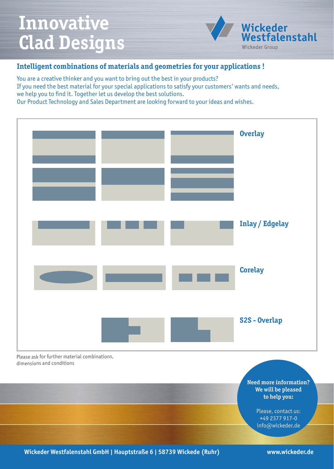## **Innovative Clad Designs**



## **Intelligent combinations of materials and geometries for your applications !**

You are a creative thinker and you want to bring out the best in your products? If you need the best material for your special applications to satisfy your customers' wants and needs, we help you to find it. Together let us develop the best solutions. Our Product Technology and Sales Department are looking forward to your ideas and wishes.



Please ask for further material combinations, dimensions and conditions

> **Need more information? We will be pleased to help you:**

> > Please, contact us: +49 2377 917-0 info@wickeder.de

**Wickeder Westfalenstahl GmbH | Hauptstraße 6 | 58739 Wickede (Ruhr) www.wickeder.de**